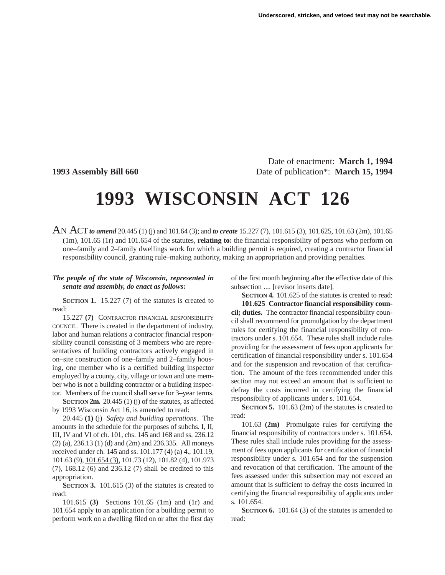Date of enactment: **March 1, 1994 1993 Assembly Bill 660** Date of publication\*: **March 15, 1994**

## **1993 WISCONSIN ACT 126**

AN ACT*to amend* 20.445 (1) (j) and 101.64 (3); and *to create* 15.227 (7), 101.615 (3), 101.625, 101.63 (2m), 101.65 (1m), 101.65 (1r) and 101.654 of the statutes, **relating to:** the financial responsibility of persons who perform on one–family and 2–family dwellings work for which a building permit is required, creating a contractor financial responsibility council, granting rule–making authority, making an appropriation and providing penalties.

## *The people of the state of Wisconsin, represented in senate and assembly, do enact as follows:*

**SECTION 1.** 15.227 (7) of the statutes is created to read:

15.227 **(7)** CONTRACTOR FINANCIAL RESPONSIBILITY COUNCIL. There is created in the department of industry, labor and human relations a contractor financial responsibility council consisting of 3 members who are representatives of building contractors actively engaged in on–site construction of one–family and 2–family housing, one member who is a certified building inspector employed by a county, city, village or town and one member who is not a building contractor or a building inspector. Members of the council shall serve for 3–year terms.

**SECTION 2m.** 20.445 (1) (j) of the statutes, as affected by 1993 Wisconsin Act 16, is amended to read:

20.445 **(1)** (j) *Safety and building operations.* The amounts in the schedule for the purposes of subchs. I, II, III, IV and VI of ch. 101, chs. 145 and 168 and ss. 236.12 (2) (a), 236.13 (1) (d) and (2m) and 236.335. All moneys received under ch. 145 and ss. 101.177 (4) (a) 4., 101.19, 101.63 (9), 101.654 (3), 101.73 (12), 101.82 (4), 101.973 (7), 168.12 (6) and 236.12 (7) shall be credited to this appropriation.

**SECTION 3.** 101.615 (3) of the statutes is created to read:

101.615 **(3)** Sections 101.65 (1m) and (1r) and 101.654 apply to an application for a building permit to perform work on a dwelling filed on or after the first day of the first month beginning after the effective date of this subsection .... [revisor inserts date].

**SECTION 4.** 101.625 of the statutes is created to read:

**101.625 Contractor financial responsibility council; duties.** The contractor financial responsibility council shall recommend for promulgation by the department rules for certifying the financial responsibility of contractors under s. 101.654. These rules shall include rules providing for the assessment of fees upon applicants for certification of financial responsibility under s. 101.654 and for the suspension and revocation of that certification. The amount of the fees recommended under this section may not exceed an amount that is sufficient to defray the costs incurred in certifying the financial responsibility of applicants under s. 101.654.

**SECTION 5.** 101.63 (2m) of the statutes is created to read:

101.63 **(2m)** Promulgate rules for certifying the financial responsibility of contractors under s. 101.654. These rules shall include rules providing for the assessment of fees upon applicants for certification of financial responsibility under s. 101.654 and for the suspension and revocation of that certification. The amount of the fees assessed under this subsection may not exceed an amount that is sufficient to defray the costs incurred in certifying the financial responsibility of applicants under s. 101.654.

**SECTION 6.** 101.64 (3) of the statutes is amended to read: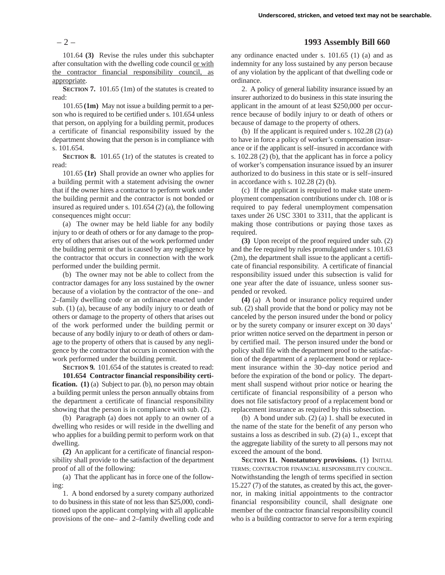101.64 **(3)** Revise the rules under this subchapter after consultation with the dwelling code council or with the contractor financial responsibility council, as appropriate.

**SECTION 7.** 101.65 (1m) of the statutes is created to read:

101.65 **(1m)** May not issue a building permit to a person who is required to be certified under s. 101.654 unless that person, on applying for a building permit, produces a certificate of financial responsibility issued by the department showing that the person is in compliance with s. 101.654.

**SECTION 8.** 101.65 (1r) of the statutes is created to read:

101.65 **(1r)** Shall provide an owner who applies for a building permit with a statement advising the owner that if the owner hires a contractor to perform work under the building permit and the contractor is not bonded or insured as required under s. 101.654 (2) (a), the following consequences might occur:

(a) The owner may be held liable for any bodily injury to or death of others or for any damage to the property of others that arises out of the work performed under the building permit or that is caused by any negligence by the contractor that occurs in connection with the work performed under the building permit.

(b) The owner may not be able to collect from the contractor damages for any loss sustained by the owner because of a violation by the contractor of the one– and 2–family dwelling code or an ordinance enacted under sub. (1) (a), because of any bodily injury to or death of others or damage to the property of others that arises out of the work performed under the building permit or because of any bodily injury to or death of others or damage to the property of others that is caused by any negligence by the contractor that occurs in connection with the work performed under the building permit.

**SECTION 9.** 101.654 of the statutes is created to read:

**101.654 Contractor financial responsibility certification. (1)** (a) Subject to par. **(b)**, no person may obtain a building permit unless the person annually obtains from the department a certificate of financial responsibility showing that the person is in compliance with sub. (2).

(b) Paragraph (a) does not apply to an owner of a dwelling who resides or will reside in the dwelling and who applies for a building permit to perform work on that dwelling.

**(2)** An applicant for a certificate of financial responsibility shall provide to the satisfaction of the department proof of all of the following:

(a) That the applicant has in force one of the following:

1. A bond endorsed by a surety company authorized to do business in this state of not less than \$25,000, conditioned upon the applicant complying with all applicable provisions of the one– and 2–family dwelling code and

## – 2 – **1993 Assembly Bill 660**

any ordinance enacted under s. 101.65 (1) (a) and as indemnity for any loss sustained by any person because of any violation by the applicant of that dwelling code or ordinance.

2. A policy of general liability insurance issued by an insurer authorized to do business in this state insuring the applicant in the amount of at least \$250,000 per occurrence because of bodily injury to or death of others or because of damage to the property of others.

(b) If the applicant is required under s. 102.28 (2) (a) to have in force a policy of worker's compensation insurance or if the applicant is self–insured in accordance with s. 102.28 (2) (b), that the applicant has in force a policy of worker's compensation insurance issued by an insurer authorized to do business in this state or is self–insured in accordance with s. 102.28 (2) (b).

(c) If the applicant is required to make state unemployment compensation contributions under ch. 108 or is required to pay federal unemployment compensation taxes under 26 USC 3301 to 3311, that the applicant is making those contributions or paying those taxes as required.

**(3)** Upon receipt of the proof required under sub. (2) and the fee required by rules promulgated under s. 101.63 (2m), the department shall issue to the applicant a certificate of financial responsibility. A certificate of financial responsibility issued under this subsection is valid for one year after the date of issuance, unless sooner suspended or revoked.

**(4)** (a) A bond or insurance policy required under sub. (2) shall provide that the bond or policy may not be canceled by the person insured under the bond or policy or by the surety company or insurer except on 30 days' prior written notice served on the department in person or by certified mail. The person insured under the bond or policy shall file with the department proof to the satisfaction of the department of a replacement bond or replacement insurance within the 30–day notice period and before the expiration of the bond or policy. The department shall suspend without prior notice or hearing the certificate of financial responsibility of a person who does not file satisfactory proof of a replacement bond or replacement insurance as required by this subsection.

(b) A bond under sub. (2) (a) 1. shall be executed in the name of the state for the benefit of any person who sustains a loss as described in sub. (2) (a) 1., except that the aggregate liability of the surety to all persons may not exceed the amount of the bond.

**SECTION 11. Nonstatutory provisions.** (1) INITIAL TERMS; CONTRACTOR FINANCIAL RESPONSIBILITY COUNCIL. Notwithstanding the length of terms specified in section 15.227 (7) of the statutes, as created by this act, the governor, in making initial appointments to the contractor financial responsibility council, shall designate one member of the contractor financial responsibility council who is a building contractor to serve for a term expiring